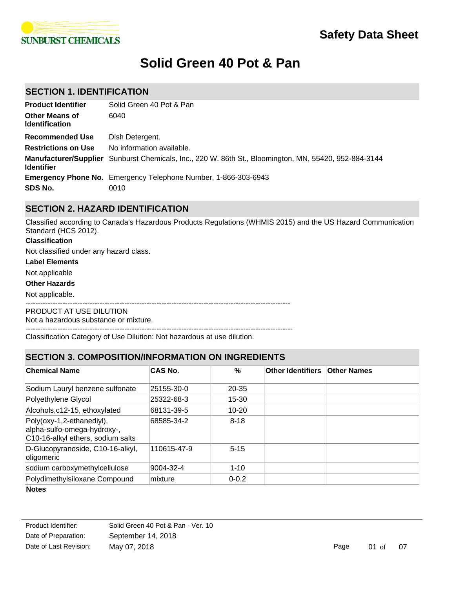

# **Solid Green 40 Pot & Pan**

# **SECTION 1. IDENTIFICATION**

| <b>Product Identifier</b>                      | Solid Green 40 Pot & Pan                                                                              |
|------------------------------------------------|-------------------------------------------------------------------------------------------------------|
| <b>Other Means of</b><br><b>Identification</b> | 6040                                                                                                  |
| <b>Recommended Use</b>                         | Dish Detergent.                                                                                       |
| <b>Restrictions on Use</b>                     | No information available.                                                                             |
| <b>Identifier</b>                              | Manufacturer/Supplier Sunburst Chemicals, Inc., 220 W. 86th St., Bloomington, MN, 55420, 952-884-3144 |
|                                                | <b>Emergency Phone No.</b> Emergency Telephone Number, 1-866-303-6943                                 |
| SDS No.                                        | 0010                                                                                                  |

# **SECTION 2. HAZARD IDENTIFICATION**

Classified according to Canada's Hazardous Products Regulations (WHMIS 2015) and the US Hazard Communication Standard (HCS 2012).

### **Classification**

Not classified under any hazard class.

#### **Label Elements**

Not applicable

### **Other Hazards**

Not applicable.

-----------------------------------------------------------------------------------------------------------

PRODUCT AT USE DILUTION

Not a hazardous substance or mixture.

------------------------------------------------------------------------------------------------------------ Classification Category of Use Dilution: Not hazardous at use dilution.

# **SECTION 3. COMPOSITION/INFORMATION ON INGREDIENTS**

| <u>ULUI IVI J. UUIIII UUITIUIVIIN UINIIA LIUN UN INUNLUILIN IU</u>                            |                |           |                          |                    |
|-----------------------------------------------------------------------------------------------|----------------|-----------|--------------------------|--------------------|
| <b>Chemical Name</b>                                                                          | <b>CAS No.</b> | %         | <b>Other Identifiers</b> | <b>Other Names</b> |
| Sodium Lauryl benzene sulfonate                                                               | 25155-30-0     | $20 - 35$ |                          |                    |
| Polyethylene Glycol                                                                           | 25322-68-3     | 15-30     |                          |                    |
| Alcohols, c12-15, ethoxylated                                                                 | 68131-39-5     | $10 - 20$ |                          |                    |
| Poly(oxy-1,2-ethanediyl),<br>alpha-sulfo-omega-hydroxy-,<br>C10-16-alkyl ethers, sodium salts | 68585-34-2     | $8 - 18$  |                          |                    |
| D-Glucopyranoside, C10-16-alkyl,<br>oligomeric                                                | 110615-47-9    | $5 - 15$  |                          |                    |
| sodium carboxymethylcellulose                                                                 | 9004-32-4      | $1 - 10$  |                          |                    |
| Polydimethylsiloxane Compound                                                                 | mixture        | $0 - 0.2$ |                          |                    |

## **Notes**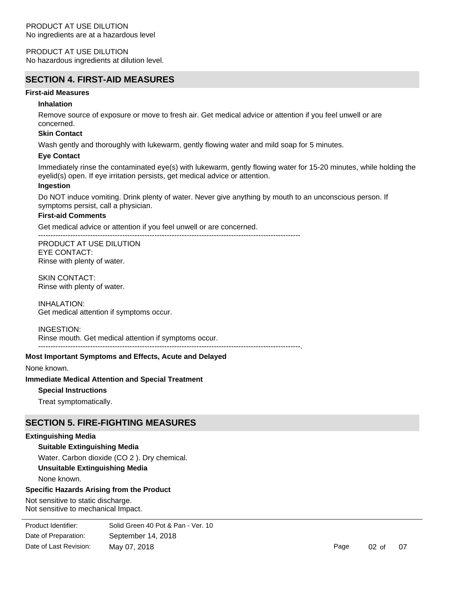PRODUCT AT USE DILUTION No hazardous ingredients at dilution level.

# **SECTION 4. FIRST-AID MEASURES**

### **First-aid Measures**

#### **Inhalation**

Remove source of exposure or move to fresh air. Get medical advice or attention if you feel unwell or are concerned.

#### **Skin Contact**

Wash gently and thoroughly with lukewarm, gently flowing water and mild soap for 5 minutes.

#### **Eye Contact**

Immediately rinse the contaminated eye(s) with lukewarm, gently flowing water for 15-20 minutes, while holding the eyelid(s) open. If eye irritation persists, get medical advice or attention.

----------------------------------------------------------------------------------------------------------.

#### **Ingestion**

Do NOT induce vomiting. Drink plenty of water. Never give anything by mouth to an unconscious person. If symptoms persist, call a physician.

## **First-aid Comments**

Get medical advice or attention if you feel unwell or are concerned.

---------------------------------------------------------------------------------------------------------- PRODUCT AT USE DILUTION EYE CONTACT: Rinse with plenty of water.

SKIN CONTACT: Rinse with plenty of water.

INHALATION: Get medical attention if symptoms occur.

INGESTION:

Rinse mouth. Get medical attention if symptoms occur.

# **Most Important Symptoms and Effects, Acute and Delayed**

None known.

**Immediate Medical Attention and Special Treatment**

## **Special Instructions**

Treat symptomatically.

# **SECTION 5. FIRE-FIGHTING MEASURES**

#### **Extinguishing Media**

## **Suitable Extinguishing Media**

Water. Carbon dioxide (CO 2 ). Dry chemical.

## **Unsuitable Extinguishing Media**

None known.

#### **Specific Hazards Arising from the Product**

Not sensitive to static discharge. Not sensitive to mechanical Impact.

**Special Protective Equipment and Precautions for Fire-fighters** Date of Preparation: September 14, 2018 Product Identifier: Solid Green 40 Pot & Pan - Ver. 10 Date of Last Revision: May 07, 2018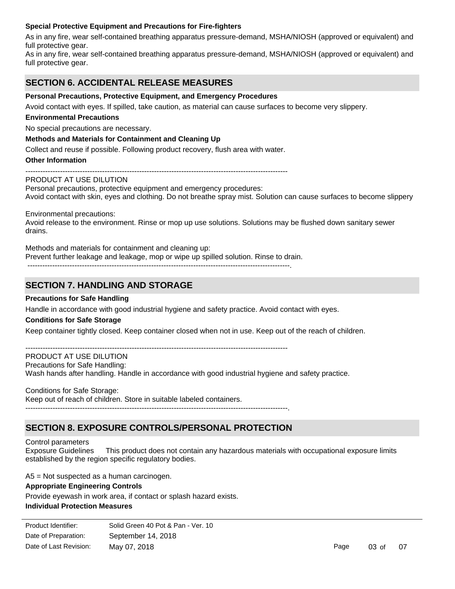## **Special Protective Equipment and Precautions for Fire-fighters**

As in any fire, wear self-contained breathing apparatus pressure-demand, MSHA/NIOSH (approved or equivalent) and full protective gear.

As in any fire, wear self-contained breathing apparatus pressure-demand, MSHA/NIOSH (approved or equivalent) and full protective gear.

# **SECTION 6. ACCIDENTAL RELEASE MEASURES**

### **Personal Precautions, Protective Equipment, and Emergency Procedures**

Avoid contact with eyes. If spilled, take caution, as material can cause surfaces to become very slippery.

#### **Environmental Precautions**

No special precautions are necessary.

#### **Methods and Materials for Containment and Cleaning Up**

Collect and reuse if possible. Following product recovery, flush area with water.

#### **Other Information**

PRODUCT AT USE DILUTION Personal precautions, protective equipment and emergency procedures: Avoid contact with skin, eyes and clothing. Do not breathe spray mist. Solution can cause surfaces to become slippery

Environmental precautions:

Avoid release to the environment. Rinse or mop up use solutions. Solutions may be flushed down sanitary sewer drains.

 $-$ 

Methods and materials for containment and cleaning up:

Prevent further leakage and leakage, mop or wipe up spilled solution. Rinse to drain.

----------------------------------------------------------------------------------------------------------.

# **SECTION 7. HANDLING AND STORAGE**

#### **Precautions for Safe Handling**

Handle in accordance with good industrial hygiene and safety practice. Avoid contact with eyes.

#### **Conditions for Safe Storage**

Keep container tightly closed. Keep container closed when not in use. Keep out of the reach of children.

----------------------------------------------------------------------------------------------------------

## PRODUCT AT USE DILUTION

Precautions for Safe Handling:

Wash hands after handling. Handle in accordance with good industrial hygiene and safety practice.

## Conditions for Safe Storage:

Keep out of reach of children. Store in suitable labeled containers.

----------------------------------------------------------------------------------------------------------.

## **SECTION 8. EXPOSURE CONTROLS/PERSONAL PROTECTION**

Control parameters

Exposure Guidelines This product does not contain any hazardous materials with occupational exposure limits established by the region specific regulatory bodies.

A5 = Not suspected as a human carcinogen.

#### **Appropriate Engineering Controls**

**Eye/Face Protection**

**Individual Protection Measures** Provide eyewash in work area, if contact or splash hazard exists.

| Product Identifier:    | Solid Green 40 Pot & Pan - Ver. 10 |
|------------------------|------------------------------------|
| Date of Preparation:   | September 14, 2018                 |
| Date of Last Revision: | May 07, 2018                       |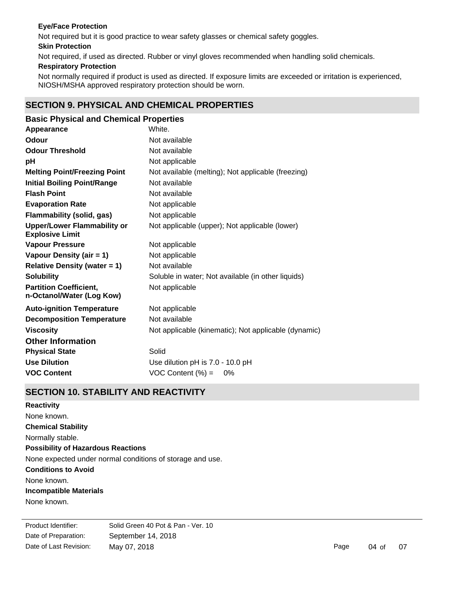## **Eye/Face Protection**

Not required but it is good practice to wear safety glasses or chemical safety goggles.

**Skin Protection**

Not required, if used as directed. Rubber or vinyl gloves recommended when handling solid chemicals.

## **Respiratory Protection**

Not normally required if product is used as directed. If exposure limits are exceeded or irritation is experienced, NIOSH/MSHA approved respiratory protection should be worn.

# **SECTION 9. PHYSICAL AND CHEMICAL PROPERTIES**

| <b>Basic Physical and Chemical Properties</b>        |
|------------------------------------------------------|
| White.                                               |
| Not available                                        |
| Not available                                        |
| Not applicable                                       |
| Not available (melting); Not applicable (freezing)   |
| Not available                                        |
| Not available                                        |
| Not applicable                                       |
| Not applicable                                       |
| Not applicable (upper); Not applicable (lower)       |
| Not applicable                                       |
| Not applicable                                       |
| Not available                                        |
| Soluble in water; Not available (in other liquids)   |
| Not applicable                                       |
| Not applicable                                       |
| Not available                                        |
| Not applicable (kinematic); Not applicable (dynamic) |
|                                                      |
| Solid                                                |
| Use dilution pH is 7.0 - 10.0 pH                     |
| VOC Content $(\%) =$<br>0%                           |
|                                                      |

# **SECTION 10. STABILITY AND REACTIVITY**

**Chemical Stability** Normally stable. **Conditions to Avoid** None known. **Incompatible Materials** None known. **Possibility of Hazardous Reactions** None expected under normal conditions of storage and use. **Reactivity** None known.

Date of Preparation: September 14, 2018 Product Identifier: Solid Green 40 Pot & Pan - Ver. 10 Date of Last Revision: May 07, 2018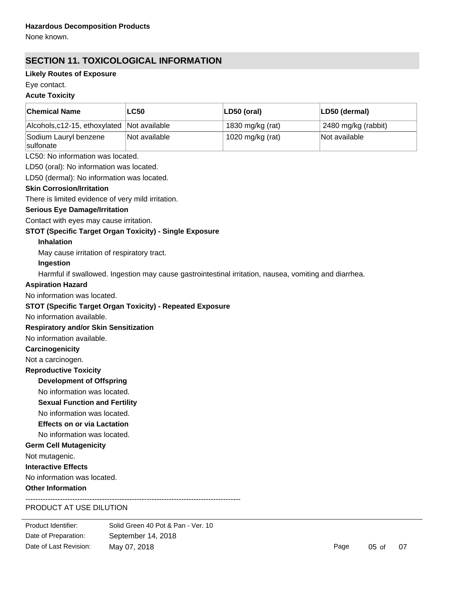None known.

# **SECTION 11. TOXICOLOGICAL INFORMATION**

# **Likely Routes of Exposure**

# Eye contact.

## **Acute Toxicity**

| <b>Chemical Name</b>                                             | <b>LC50</b>   | LD50 (oral)                                                                                           | LD50 (dermal)       |  |  |
|------------------------------------------------------------------|---------------|-------------------------------------------------------------------------------------------------------|---------------------|--|--|
| Alcohols, c12-15, ethoxylated                                    | Not available | 1830 mg/kg (rat)                                                                                      | 2480 mg/kg (rabbit) |  |  |
| Sodium Lauryl benzene<br>sulfonate                               | Not available | 1020 mg/kg (rat)                                                                                      | Not available       |  |  |
| LC50: No information was located.                                |               |                                                                                                       |                     |  |  |
| LD50 (oral): No information was located.                         |               |                                                                                                       |                     |  |  |
| LD50 (dermal): No information was located.                       |               |                                                                                                       |                     |  |  |
| <b>Skin Corrosion/Irritation</b>                                 |               |                                                                                                       |                     |  |  |
| There is limited evidence of very mild irritation.               |               |                                                                                                       |                     |  |  |
| <b>Serious Eye Damage/Irritation</b>                             |               |                                                                                                       |                     |  |  |
| Contact with eyes may cause irritation.                          |               |                                                                                                       |                     |  |  |
| STOT (Specific Target Organ Toxicity) - Single Exposure          |               |                                                                                                       |                     |  |  |
| <b>Inhalation</b>                                                |               |                                                                                                       |                     |  |  |
| May cause irritation of respiratory tract.                       |               |                                                                                                       |                     |  |  |
| Ingestion                                                        |               |                                                                                                       |                     |  |  |
|                                                                  |               | Harmful if swallowed. Ingestion may cause gastrointestinal irritation, nausea, vomiting and diarrhea. |                     |  |  |
| <b>Aspiration Hazard</b>                                         |               |                                                                                                       |                     |  |  |
| No information was located.                                      |               |                                                                                                       |                     |  |  |
| <b>STOT (Specific Target Organ Toxicity) - Repeated Exposure</b> |               |                                                                                                       |                     |  |  |
| No information available.                                        |               |                                                                                                       |                     |  |  |
| <b>Respiratory and/or Skin Sensitization</b>                     |               |                                                                                                       |                     |  |  |
| No information available.                                        |               |                                                                                                       |                     |  |  |
| Carcinogenicity                                                  |               |                                                                                                       |                     |  |  |
| Not a carcinogen.                                                |               |                                                                                                       |                     |  |  |
| <b>Reproductive Toxicity</b>                                     |               |                                                                                                       |                     |  |  |
| <b>Development of Offspring</b>                                  |               |                                                                                                       |                     |  |  |
| No information was located.                                      |               |                                                                                                       |                     |  |  |
| <b>Sexual Function and Fertility</b>                             |               |                                                                                                       |                     |  |  |
| No information was located.                                      |               |                                                                                                       |                     |  |  |
| <b>Effects on or via Lactation</b>                               |               |                                                                                                       |                     |  |  |
| No information was located.                                      |               |                                                                                                       |                     |  |  |
| <b>Germ Cell Mutagenicity</b>                                    |               |                                                                                                       |                     |  |  |
| Not mutagenic.                                                   |               |                                                                                                       |                     |  |  |
| <b>Interactive Effects</b>                                       |               |                                                                                                       |                     |  |  |
| No information was located.                                      |               |                                                                                                       |                     |  |  |
| <b>Other Information</b>                                         |               |                                                                                                       |                     |  |  |

# PRODUCT AT USE DILUTION

Product Identifier: Solid Green 40 Pot & Pan - Ver. 10 Date of Preparation: September 14, 2018 Date of Last Revision: May 07, 2018 May 07, 2018 Date of Preparation: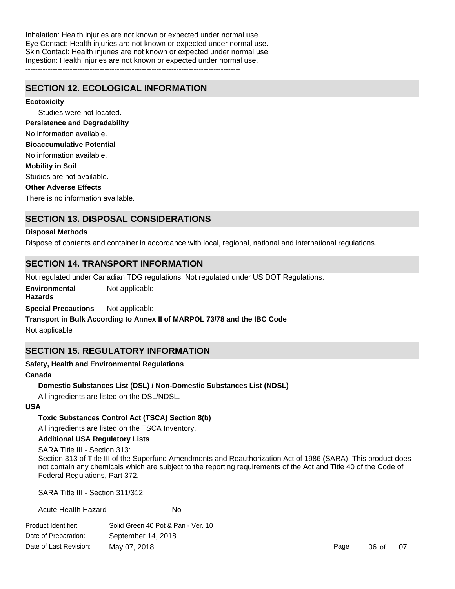Inhalation: Health injuries are not known or expected under normal use. Eye Contact: Health injuries are not known or expected under normal use. Skin Contact: Health injuries are not known or expected under normal use. Ingestion: Health injuries are not known or expected under normal use. ---------------------------------------------------------------------------------------

**SECTION 12. ECOLOGICAL INFORMATION**

**Ecotoxicity**

Studies were not located. No information available. No information available. **Persistence and Degradability Bioaccumulative Potential**

**Mobility in Soil**

Studies are not available.

**Other Adverse Effects**

There is no information available.

# **SECTION 13. DISPOSAL CONSIDERATIONS**

## **Disposal Methods**

Dispose of contents and container in accordance with local, regional, national and international regulations.

# **SECTION 14. TRANSPORT INFORMATION**

Not regulated under Canadian TDG regulations. Not regulated under US DOT Regulations.

**Environmental Hazards** Not applicable

**Special Precautions** Not applicable

# **Transport in Bulk According to Annex II of MARPOL 73/78 and the IBC Code**

Not applicable

# **SECTION 15. REGULATORY INFORMATION**

## **Safety, Health and Environmental Regulations**

#### **Canada**

## **Domestic Substances List (DSL) / Non-Domestic Substances List (NDSL)**

All ingredients are listed on the DSL/NDSL.

## **USA**

## **Toxic Substances Control Act (TSCA) Section 8(b)**

All ingredients are listed on the TSCA Inventory.

## **Additional USA Regulatory Lists**

SARA Title III - Section 313:

Section 313 of Title III of the Superfund Amendments and Reauthorization Act of 1986 (SARA). This product does not contain any chemicals which are subject to the reporting requirements of the Act and Title 40 of the Code of Federal Regulations, Part 372.

SARA Title III - Section 311/312:

Acute Health Hazard No

| Solid Green 40 Pot & Pan - Ver. 10 |
|------------------------------------|
| September 14, 2018                 |
| May 07, 2018                       |
|                                    |